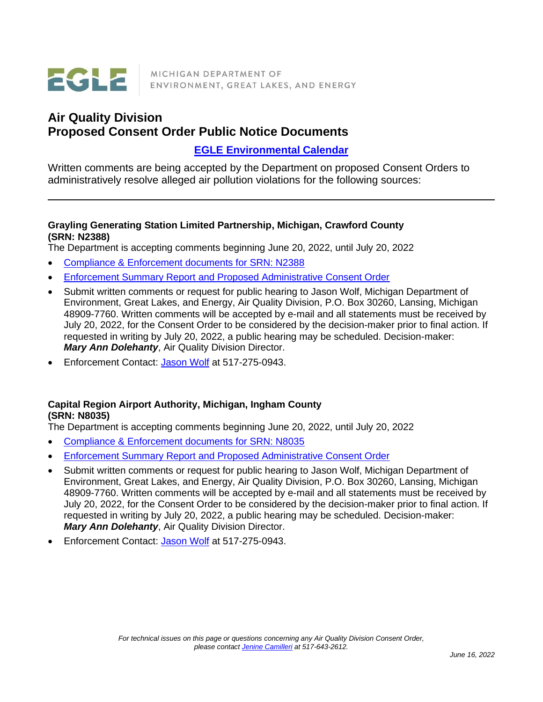

MICHIGAN DEPARTMENT OF ENVIRONMENT, GREAT LAKES, AND ENERGY

# **Air Quality Division Proposed Consent Order Public Notice Documents**

## **EGLE [Environmental Calendar](https://www.michigan.gov/deq/0,1607,7-135-3308_3325---,00.html)**

Written comments are being accepted by the Department on proposed Consent Orders to administratively resolve alleged air pollution violations for the following sources:

#### **Grayling Generating Station Limited Partnership, Michigan, Crawford County (SRN: N2388)**

The Department is accepting comments beginning June 20, 2022, until July 20, 2022

- [Compliance & Enforcement documents for SRN: N2388](https://www.deq.state.mi.us/aps/downloads/SRN/N2388)
- [Enforcement Summary Report and Proposed Administrative Consent Order](https://www.deq.state.mi.us/aps/downloads/Enforcement/N2388_ESR_ACO_20220620.pdf)
- Submit written comments or request for public hearing to Jason Wolf, Michigan Department of Environment, Great Lakes, and Energy, Air Quality Division, P.O. Box 30260, Lansing, Michigan 48909-7760. Written comments will be accepted by e-mail and all statements must be received by July 20, 2022, for the Consent Order to be considered by the decision-maker prior to final action. If requested in writing by July 20, 2022, a public hearing may be scheduled. Decision-maker: *Mary Ann Dolehanty*, Air Quality Division Director.
- Enforcement Contact: [Jason Wolf](mailto:WolfJ2@Michigan.gov) at 517-275-0943.

## **Capital Region Airport Authority, Michigan, Ingham County (SRN: N8035)**

The Department is accepting comments beginning June 20, 2022, until July 20, 2022

- [Compliance & Enforcement documents for SRN: N8035](https://www.deq.state.mi.us/aps/downloads/SRN/N8035)
- Enforcement Summary [Report and Proposed Administrative Consent Order](https://www.deq.state.mi.us/aps/downloads/Enforcement/N8035_ESR_ACO_20220620.pdf)
- Submit written comments or request for public hearing to Jason Wolf, Michigan Department of Environment, Great Lakes, and Energy, Air Quality Division, P.O. Box 30260, Lansing, Michigan 48909-7760. Written comments will be accepted by e-mail and all statements must be received by July 20, 2022, for the Consent Order to be considered by the decision-maker prior to final action. If requested in writing by July 20, 2022, a public hearing may be scheduled. Decision-maker: *Mary Ann Dolehanty*, Air Quality Division Director.
- Enforcement Contact: [Jason Wolf](mailto:WolfJ2@Michigan.gov) at 517-275-0943.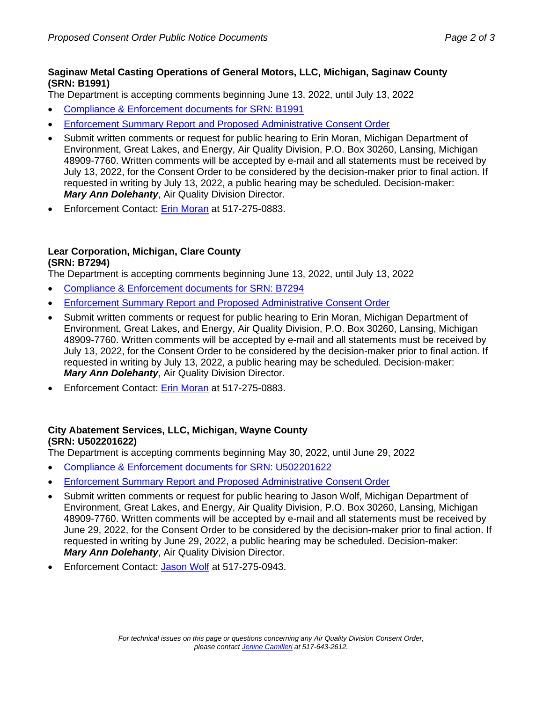#### **Saginaw Metal Casting Operations of General Motors, LLC, Michigan, Saginaw County (SRN: B1991)**

The Department is accepting comments beginning June 13, 2022, until July 13, 2022

- [Compliance & Enforcement documents for SRN: B1991](https://www.deq.state.mi.us/aps/downloads/SRN/B1991)
- [Enforcement Summary Report and Proposed Administrative Consent Order](https://www.deq.state.mi.us/aps/downloads/Enforcement/B1991_ESR_ACO_20220613.pdf)
- Submit written comments or request for public hearing to Erin Moran, Michigan Department of Environment, Great Lakes, and Energy, Air Quality Division, P.O. Box 30260, Lansing, Michigan 48909-7760. Written comments will be accepted by e-mail and all statements must be received by July 13, 2022, for the Consent Order to be considered by the decision-maker prior to final action. If requested in writing by July 13, 2022, a public hearing may be scheduled. Decision-maker: *Mary Ann Dolehanty*, Air Quality Division Director.
- Enforcement Contact: [Erin Moran](mailto:MoranE@Michigan.gov) at 517-275-0883.

#### **Lear Corporation, Michigan, Clare County (SRN: B7294)**

The Department is accepting comments beginning June 13, 2022, until July 13, 2022

- [Compliance & Enforcement documents for SRN: B7294](https://www.deq.state.mi.us/aps/downloads/SRN/B7294)
- Enforcement Summary [Report and Proposed Administrative Consent Order](https://www.deq.state.mi.us/aps/downloads/Enforcement/B7294_ESR_ACO_20220613.pdf)
- Submit written comments or request for public hearing to Erin Moran, Michigan Department of Environment, Great Lakes, and Energy, Air Quality Division, P.O. Box 30260, Lansing, Michigan 48909-7760. Written comments will be accepted by e-mail and all statements must be received by July 13, 2022, for the Consent Order to be considered by the decision-maker prior to final action. If requested in writing by July 13, 2022, a public hearing may be scheduled. Decision-maker: *Mary Ann Dolehanty*, Air Quality Division Director.
- Enforcement Contact: [Erin Moran](mailto:MoranE@Michigan.gov) at 517-275-0883.

## **City Abatement Services, LLC, Michigan, Wayne County (SRN: U502201622)**

The Department is accepting comments beginning May 30, 2022, until June 29, 2022

- [Compliance & Enforcement documents for SRN: U502201622](https://www.deq.state.mi.us/aps/downloads/SRN/U502201622)
- [Enforcement Summary Report and Proposed Administrative Consent Order](https://www.deq.state.mi.us/aps/downloads/Enforcement/U502201622_ESR_ACO_20220530.pdf)
- Submit written comments or request for public hearing to Jason Wolf, Michigan Department of Environment, Great Lakes, and Energy, Air Quality Division, P.O. Box 30260, Lansing, Michigan 48909-7760. Written comments will be accepted by e-mail and all statements must be received by June 29, 2022, for the Consent Order to be considered by the decision-maker prior to final action. If requested in writing by June 29, 2022, a public hearing may be scheduled. Decision-maker: *Mary Ann Dolehanty*, Air Quality Division Director.
- Enforcement Contact: [Jason Wolf](mailto:WolfJ2@Michigan.gov) at 517-275-0943.